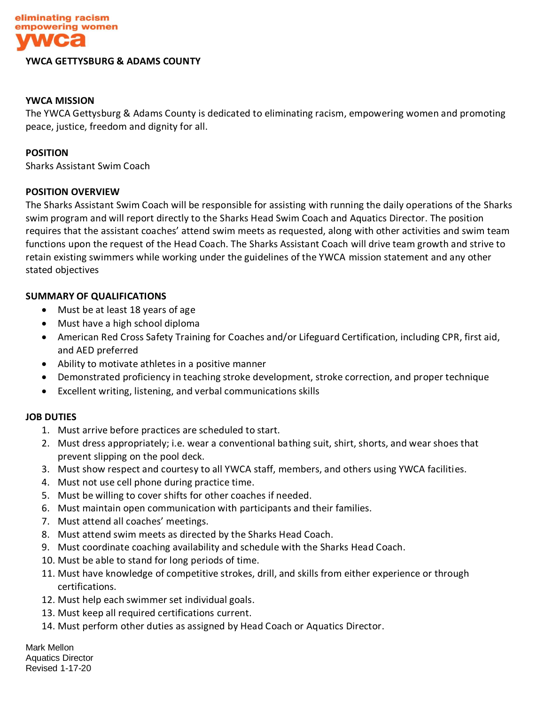

#### **YWCA GETTYSBURG & ADAMS COUNTY**

## **YWCA MISSION**

The YWCA Gettysburg & Adams County is dedicated to eliminating racism, empowering women and promoting peace, justice, freedom and dignity for all.

#### **POSITION**

Sharks Assistant Swim Coach

## **POSITION OVERVIEW**

The Sharks Assistant Swim Coach will be responsible for assisting with running the daily operations of the Sharks swim program and will report directly to the Sharks Head Swim Coach and Aquatics Director. The position requires that the assistant coaches' attend swim meets as requested, along with other activities and swim team functions upon the request of the Head Coach. The Sharks Assistant Coach will drive team growth and strive to retain existing swimmers while working under the guidelines of the YWCA mission statement and any other stated objectives

## **SUMMARY OF QUALIFICATIONS**

- Must be at least 18 years of age
- Must have a high school diploma
- American Red Cross Safety Training for Coaches and/or Lifeguard Certification, including CPR, first aid, and AED preferred
- Ability to motivate athletes in a positive manner
- Demonstrated proficiency in teaching stroke development, stroke correction, and proper technique
- Excellent writing, listening, and verbal communications skills

## **JOB DUTIES**

- 1. Must arrive before practices are scheduled to start.
- 2. Must dress appropriately; i.e. wear a conventional bathing suit, shirt, shorts, and wear shoes that prevent slipping on the pool deck.
- 3. Must show respect and courtesy to all YWCA staff, members, and others using YWCA facilities.
- 4. Must not use cell phone during practice time.
- 5. Must be willing to cover shifts for other coaches if needed.
- 6. Must maintain open communication with participants and their families.
- 7. Must attend all coaches' meetings.
- 8. Must attend swim meets as directed by the Sharks Head Coach.
- 9. Must coordinate coaching availability and schedule with the Sharks Head Coach.
- 10. Must be able to stand for long periods of time.
- 11. Must have knowledge of competitive strokes, drill, and skills from either experience or through certifications.
- 12. Must help each swimmer set individual goals.
- 13. Must keep all required certifications current.
- 14. Must perform other duties as assigned by Head Coach or Aquatics Director.

Mark Mellon Aquatics Director Revised 1-17-20